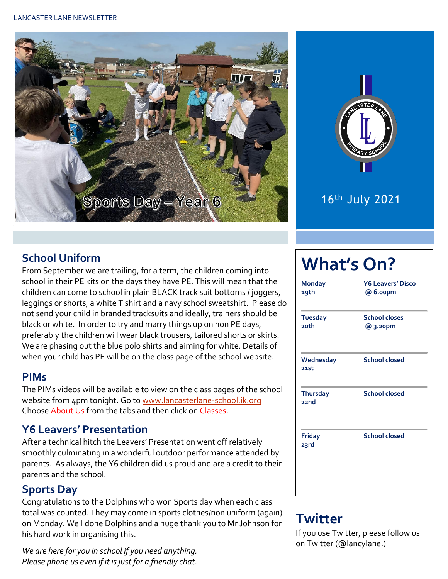



### 16th July 2021

#### **School Uniform**

From September we are trailing, for a term, the children coming into school in their PE kits on the days they have PE. This will mean that the children can come to school in plain BLACK track suit bottoms / joggers, leggings or shorts, a white T shirt and a navy school sweatshirt. Please do not send your child in branded tracksuits and ideally, trainers should be black or white. In order to try and marry things up on non PE days, preferably the children will wear black trousers, tailored shorts or skirts. We are phasing out the blue polo shirts and aiming for white. Details of when your child has PE will be on the class page of the school website.

#### **PIMs**

The PIMs videos will be available to view on the class pages of the school website from 4pm tonight. Go t[o www.lancasterlane-school.ik.org](file:///C:/Users/Mandy%20Wood/Desktop/Newsletters/www.lancasterlane-school.ik.org) Choose About Us from the tabs and then click on Classes.

#### **Y6 Leavers' Presentation**

After a technical hitch the Leavers' Presentation went off relatively smoothly culminating in a wonderful outdoor performance attended by parents. As always, the Y6 children did us proud and are a credit to their parents and the school.

#### **Sports Day**

Congratulations to the Dolphins who won Sports day when each class total was counted. They may come in sports clothes/non uniform (again) on Monday. Well done Dolphins and a huge thank you to Mr Johnson for his hard work in organising this.

*We are here for you in school if you need anything. Please phone us even if it is just for a friendly chat.* 

# **What's On?**

| <b>Monday</b><br>19th         | <b>Y6 Leavers' Disco</b><br>@ 6.oopm |  |  |
|-------------------------------|--------------------------------------|--|--|
| <b>Tuesday</b><br><b>20th</b> | <b>School closes</b><br>@ 3.20pm     |  |  |
| Wednesday<br>21st             | <b>School closed</b>                 |  |  |
| <b>Thursday</b><br>22nd       | <b>School closed</b>                 |  |  |
| <b>Friday</b><br>23rd         | <b>School closed</b>                 |  |  |

## **Twitter**

If you use Twitter, please follow us on Twitter (@lancylane.)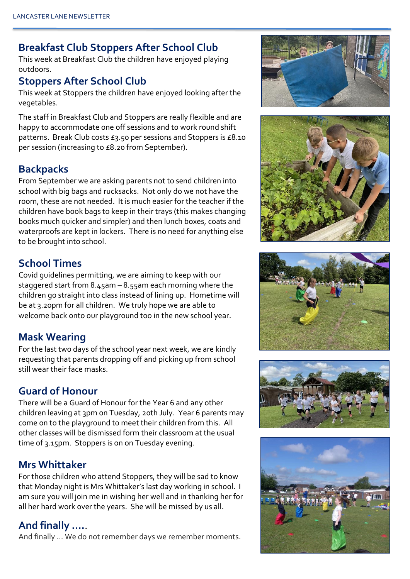#### **Breakfast Club Stoppers After School Club**

This week at Breakfast Club the children have enjoyed playing outdoors.

#### **Stoppers After School Club**

This week at Stoppers the children have enjoyed looking after the vegetables.

The staff in Breakfast Club and Stoppers are really flexible and are happy to accommodate one off sessions and to work round shift patterns. Break Club costs £3.50 per sessions and Stoppers is £8.10 per session (increasing to £8.20 from September).

#### **Backpacks**

From September we are asking parents not to send children into school with big bags and rucksacks. Not only do we not have the room, these are not needed. It is much easier for the teacher if the children have book bags to keep in their trays (this makes changing books much quicker and simpler) and then lunch boxes, coats and waterproofs are kept in lockers. There is no need for anything else to be brought into school.

#### **School Times**

Covid guidelines permitting, we are aiming to keep with our staggered start from 8.45am – 8.55am each morning where the children go straight into class instead of lining up. Hometime will be at 3.20pm for all children. We truly hope we are able to welcome back onto our playground too in the new school year.

#### **Mask Wearing**

For the last two days of the school year next week, we are kindly requesting that parents dropping off and picking up from school still wear their face masks.

#### **Guard of Honour**

There will be a Guard of Honour for the Year 6 and any other children leaving at 3pm on Tuesday, 20th July. Year 6 parents may come on to the playground to meet their children from this. All other classes will be dismissed form their classroom at the usual time of 3.15pm. Stoppers is on on Tuesday evening.

#### **Mrs Whittaker**

For those children who attend Stoppers, they will be sad to know that Monday night is Mrs Whittaker's last day working in school. I am sure you will join me in wishing her well and in thanking her for all her hard work over the years. She will be missed by us all.

#### **And finally ….**.

And finally … We do not remember days we remember moments.